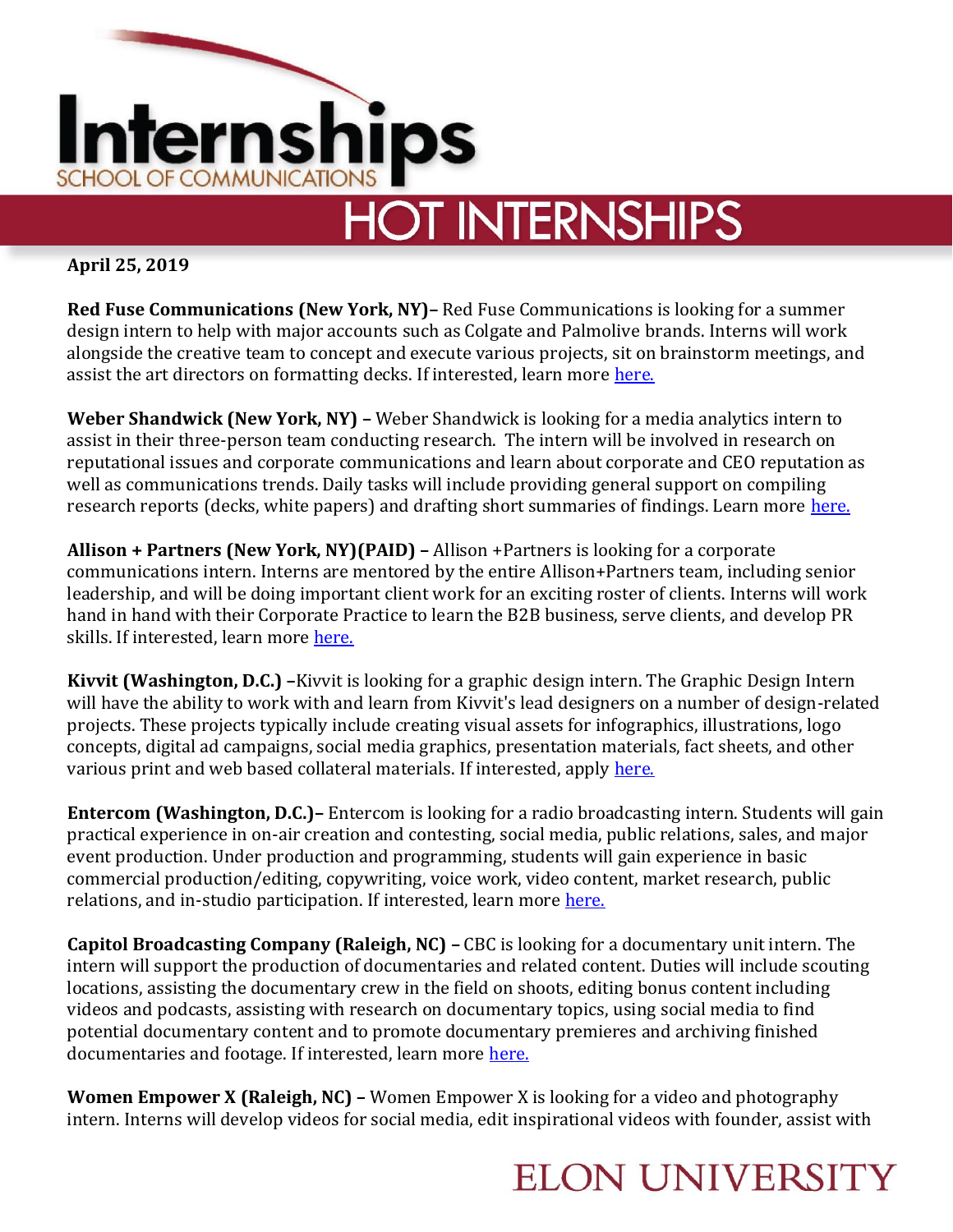

## **HOT INTERNSHIPS**

**April 25, 2019**

**Red Fuse Communications (New York, NY)–** Red Fuse Communications is looking for a summer design intern to help with major accounts such as Colgate and Palmolive brands. Interns will work alongside the creative team to concept and execute various projects, sit on brainstorm meetings, and assist the art directors on formatting decks. If interested, learn more [here.](https://www.linkedin.com/jobs/view/1236831644/)

**Weber Shandwick (New York, NY) –** Weber Shandwick is looking for a media analytics intern to assist in their three-person team conducting research. The intern will be involved in research on reputational issues and corporate communications and learn about corporate and CEO reputation as well as communications trends. Daily tasks will include providing general support on compiling research reports (decks, white papers) and drafting short summaries of findings. Learn more [here.](https://www.linkedin.com/jobs/view/1231174787/)

**Allison + Partners (New York, NY)(PAID) –** Allison +Partners is looking for a corporate communications intern. Interns are mentored by the entire Allison+Partners team, including senior leadership, and will be doing important client work for an exciting roster of clients. Interns will work hand in hand with their Corporate Practice to learn the B2B business, serve clients, and develop PR skills. If interested, learn more [here.](https://www.linkedin.com/jobs/view/1229408040/) 

**Kivvit (Washington, D.C.) –**Kivvit is looking for a graphic design intern. The Graphic Design Intern will have the ability to work with and learn from Kivvit's lead designers on a number of design-related projects. These projects typically include creating visual assets for infographics, illustrations, logo concepts, digital ad campaigns, social media graphics, presentation materials, fact sheets, and other various print and web based collateral materials. If interested, apply [here.](https://kivvit.applytojob.com/apply/job_20160422155133_KUG7UKPLJJQCVWUF/Graphic-Design-Intern-DC?source=LILI#vcMnNd)

**Entercom (Washington, D.C.)–** Entercom is looking for a radio broadcasting intern. Students will gain practical experience in on-air creation and contesting, social media, public relations, sales, and major event production. Under production and programming, students will gain experience in basic commercial production/editing, copywriting, voice work, video content, market research, public relations, and in-studio participation. If interested, learn more [here.](https://www.linkedin.com/jobs/view/1229185114/)

**Capitol Broadcasting Company (Raleigh, NC) –** CBC is looking for a documentary unit intern. The intern will support the production of documentaries and related content. Duties will include scouting locations, assisting the documentary crew in the field on shoots, editing bonus content including videos and podcasts, assisting with research on documentary topics, using social media to find potential documentary content and to promote documentary premieres and archiving finished documentaries and footage. If interested, learn more [here.](https://www.linkedin.com/jobs/view/1228238118/)

**Women Empower X (Raleigh, NC) –** Women Empower X is looking for a video and photography intern. Interns will develop videos for social media, edit inspirational videos with founder, assist with

## **ELON UNIVERSITY**